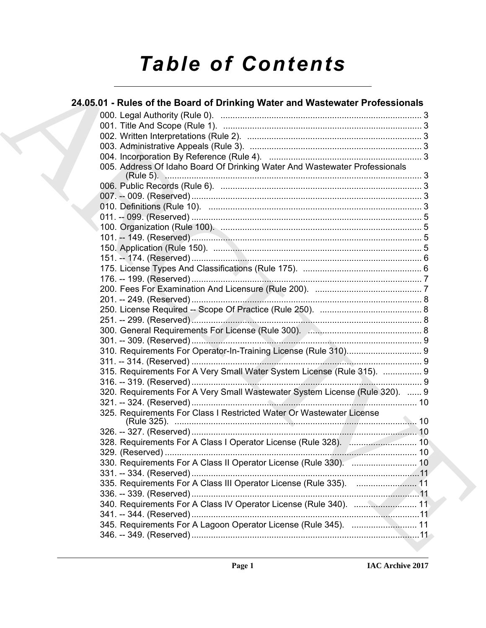# **Table of Contents**

| 24.05.01 - Rules of the Board of Drinking Water and Wastewater Professionals |
|------------------------------------------------------------------------------|
|                                                                              |
|                                                                              |
|                                                                              |
|                                                                              |
|                                                                              |
| 005. Address Of Idaho Board Of Drinking Water And Wastewater Professionals   |
|                                                                              |
|                                                                              |
|                                                                              |
|                                                                              |
|                                                                              |
|                                                                              |
|                                                                              |
|                                                                              |
|                                                                              |
|                                                                              |
|                                                                              |
|                                                                              |
|                                                                              |
|                                                                              |
|                                                                              |
|                                                                              |
|                                                                              |
|                                                                              |
| 315. Requirements For A Very Small Water System License (Rule 315).  9       |
|                                                                              |
| 320. Requirements For A Very Small Wastewater System License (Rule 320).  9  |
| 325. Requirements For Class I Restricted Water Or Wastewater License         |
|                                                                              |
|                                                                              |
|                                                                              |
|                                                                              |
| 330. Requirements For A Class II Operator License (Rule 330).  10            |
|                                                                              |
| 335. Requirements For A Class III Operator License (Rule 335).  11           |
|                                                                              |
| 340. Requirements For A Class IV Operator License (Rule 340).  11            |
|                                                                              |
| 345. Requirements For A Lagoon Operator License (Rule 345).  11              |
|                                                                              |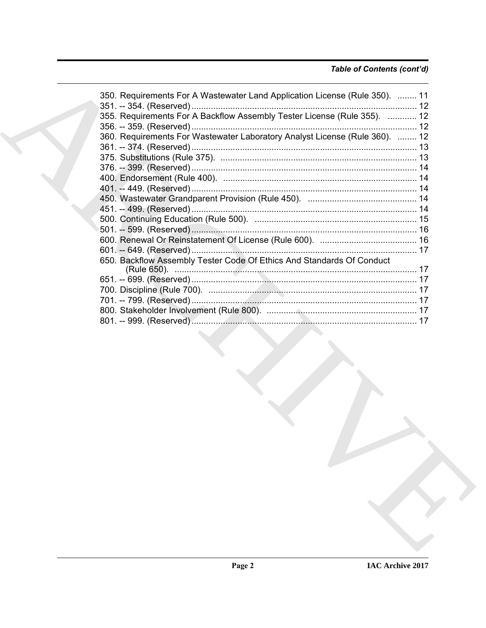### Table of Contents (cont'd)

| 350. Requirements For A Wastewater Land Application License (Rule 350).  11 |  |
|-----------------------------------------------------------------------------|--|
| 355. Requirements For A Backflow Assembly Tester License (Rule 355).  12    |  |
| 360. Requirements For Wastewater Laboratory Analyst License (Rule 360).  12 |  |
|                                                                             |  |
|                                                                             |  |
|                                                                             |  |
|                                                                             |  |
|                                                                             |  |
| 650. Backflow Assembly Tester Code Of Ethics And Standards Of Conduct       |  |
|                                                                             |  |
|                                                                             |  |
|                                                                             |  |
|                                                                             |  |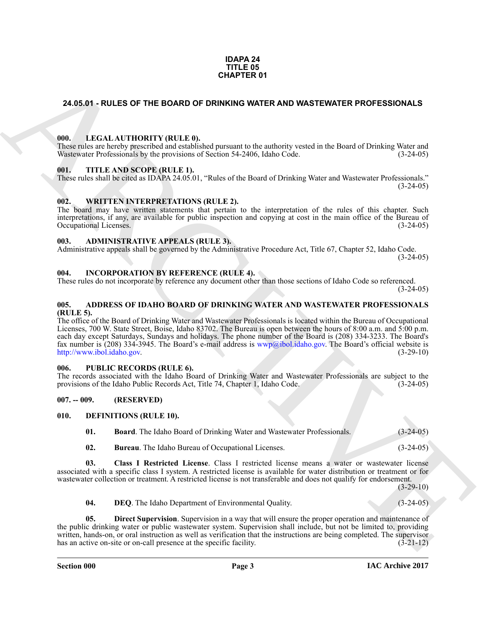#### **IDAPA 24 TITLE 05 CHAPTER 01**

### <span id="page-2-0"></span>**24.05.01 - RULES OF THE BOARD OF DRINKING WATER AND WASTEWATER PROFESSIONALS**

#### <span id="page-2-1"></span>**000. LEGAL AUTHORITY (RULE 0).**

These rules are hereby prescribed and established pursuant to the authority vested in the Board of Drinking Water and Wastewater Professionals by the provisions of Section 54-2406, Idaho Code. (3-24-05)

#### <span id="page-2-2"></span>**001. TITLE AND SCOPE (RULE 1).**

These rules shall be cited as IDAPA 24.05.01, "Rules of the Board of Drinking Water and Wastewater Professionals."  $(3-24-05)$ 

#### <span id="page-2-3"></span>**002. WRITTEN INTERPRETATIONS (RULE 2).**

The board may have written statements that pertain to the interpretation of the rules of this chapter. Such interpretations, if any, are available for public inspection and copying at cost in the main office of the Bureau of Occupational Licenses.

#### <span id="page-2-4"></span>**003. ADMINISTRATIVE APPEALS (RULE 3).**

Administrative appeals shall be governed by the Administrative Procedure Act, Title 67, Chapter 52, Idaho Code.  $(3-24-05)$ 

#### <span id="page-2-5"></span>**004. INCORPORATION BY REFERENCE (RULE 4).**

These rules do not incorporate by reference any document other than those sections of Idaho Code so referenced.  $(3-24-05)$ 

#### <span id="page-2-6"></span>**005. ADDRESS OF IDAHO BOARD OF DRINKING WATER AND WASTEWATER PROFESSIONALS (RULE 5).**

**24.05.01 - RULES OF THE BOARD OF DRIVING WATER AND WASTEWATER PROFESSIONALS**<br>
With **EXCLUSION THE RANC[HI](mailto:wwp@ibol.idaho.gov)VE CONTINUES** the subset of the Studies of Board of Detailing Water and<br>
With  $\frac{1}{2}$  and  $\frac{1}{2}$  and  $\frac{1}{2}$  The office of the Board of Drinking Water and Wastewater Professionals is located within the Bureau of Occupational Licenses, 700 W. State Street, Boise, Idaho 83702. The Bureau is open between the hours of 8:00 a.m. and 5:00 p.m. each day except Saturdays, Sundays and holidays. The phone number of the Board is (208) 334-3233. The Board's fax number is (208) 334-3945. The Board's e-mail address is  $wwp@ibol_idaho.gov$ . The Board's official website is http://www.ibol.idaho.gov. (3-29-10) http://www.ibol.idaho.gov.

#### <span id="page-2-7"></span>**006. PUBLIC RECORDS (RULE 6).**

The records associated with the Idaho Board of Drinking Water and Wastewater Professionals are subject to the provisions of the Idaho Public Records Act, Title 74, Chapter 1, Idaho Code. (3-24-05) provisions of the Idaho Public Records Act, Title 74, Chapter 1, Idaho Code.

#### <span id="page-2-8"></span>**007. -- 009. (RESERVED)**

#### <span id="page-2-9"></span>**010. DEFINITIONS (RULE 10).**

<span id="page-2-11"></span><span id="page-2-10"></span>**01. Board**. The Idaho Board of Drinking Water and Wastewater Professionals. (3-24-05)

<span id="page-2-13"></span><span id="page-2-12"></span>**02. Bureau**. The Idaho Bureau of Occupational Licenses. (3-24-05)

**03. Class I Restricted License**. Class I restricted license means a water or wastewater license associated with a specific class I system. A restricted license is available for water distribution or treatment or for wastewater collection or treatment. A restricted license is not transferable and does not qualify for endorsement.

 $(3-29-10)$ 

<span id="page-2-15"></span><span id="page-2-14"></span>**04. DEQ**. The Idaho Department of Environmental Quality. (3-24-05)

**Direct Supervision**. Supervision in a way that will ensure the proper operation and maintenance of the public drinking water or public wastewater system. Supervision shall include, but not be limited to, providing written, hands-on, or oral instruction as well as verification that the instructions are being completed. The supervisor has an active on-site or on-call presence at the specific facility. (3-21-12) has an active on-site or on-call presence at the specific facility.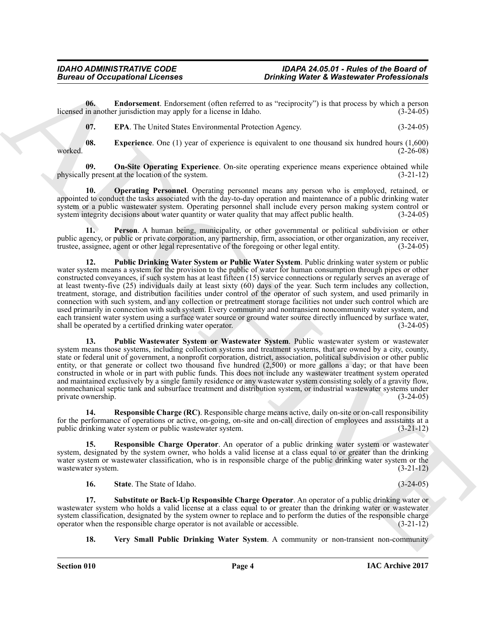**06. Endorsement**. Endorsement (often referred to as "reciprocity") is that process by which a person in another jurisdiction may apply for a license in Idaho. (3-24-05) licensed in another jurisdiction may apply for a license in Idaho.

<span id="page-3-3"></span><span id="page-3-2"></span><span id="page-3-1"></span><span id="page-3-0"></span>**07. EPA**. The United States Environmental Protection Agency. (3-24-05)

**08. Experience**. One (1) year of experience is equivalent to one thousand six hundred hours (1,600) worked. (2-26-08)

**09.** On-Site Operating Experience. On-site operating experience means experience obtained while y present at the location of the system.  $(3-21-12)$ physically present at the location of the system.

<span id="page-3-4"></span>**10. Operating Personnel**. Operating personnel means any person who is employed, retained, or appointed to conduct the tasks associated with the day-to-day operation and maintenance of a public drinking water system or a public wastewater system. Operating personnel shall include every person making system control or system integrity decisions about water quantity or water quality that may affect public health. (3-24-05)

<span id="page-3-6"></span><span id="page-3-5"></span>**11. Person**. A human being, municipality, or other governmental or political subdivision or other public agency, or public or private corporation, any partnership, firm, association, or other organization, any receiver, trustee, assignee, agent or other legal representative of the foregoing or other legal entity. (3-24 trustee, assignee, agent or other legal representative of the foregoing or other legal entity. (3-24-05)

**Bureau of Occupational Licensies control of the systems of Maximedele Principal and the systems of the systems of the systems of the systems of the systems of the systems of the systems of the systems of the systems of t 12. Public Drinking Water System or Public Water System**. Public drinking water system or public water system means a system for the provision to the public of water for human consumption through pipes or other constructed conveyances, if such system has at least fifteen (15) service connections or regularly serves an average of at least twenty-five (25) individuals daily at least sixty (60) days of the year. Such term includes any collection, treatment, storage, and distribution facilities under control of the operator of such system, and used primarily in connection with such system, and any collection or pretreatment storage facilities not under such control which are used primarily in connection with such system. Every community and nontransient noncommunity water system, and each transient water system using a surface water source or ground water source directly influenced by surface water, shall be operated by a certified drinking water operator. (3-24-05) shall be operated by a certified drinking water operator.

<span id="page-3-7"></span>**13. Public Wastewater System or Wastewater System**. Public wastewater system or wastewater system means those systems, including collection systems and treatment systems, that are owned by a city, county, state or federal unit of government, a nonprofit corporation, district, association, political subdivision or other public entity, or that generate or collect two thousand five hundred (2,500) or more gallons a day; or that have been constructed in whole or in part with public funds. This does not include any wastewater treatment system operated and maintained exclusively by a single family residence or any wastewater system consisting solely of a gravity flow, nonmechanical septic tank and subsurface treatment and distribution system, or industrial wastewater systems under private ownership. (3-24-05)

<span id="page-3-8"></span>**14. Responsible Charge (RC)**. Responsible charge means active, daily on-site or on-call responsibility for the performance of operations or active, on-going, on-site and on-call direction of employees and assistants at a public drinking water system or public wastewater system. (3-21-12)

**15. Responsible Charge Operator**. An operator of a public drinking water system or wastewater system, designated by the system owner, who holds a valid license at a class equal to or greater than the drinking water system or wastewater classification, who is in responsible charge of the public drinking water system or the wastewater system. (3-21-12)

<span id="page-3-11"></span><span id="page-3-10"></span><span id="page-3-9"></span>**16.** State. The State of Idaho. (3-24-05)

**17. Substitute or Back-Up Responsible Charge Operator**. An operator of a public drinking water or wastewater system who holds a valid license at a class equal to or greater than the drinking water or wastewater system classification, designated by the system owner to replace and to perform the duties of the responsible charge operator when the responsible charge operator is not available or accessible. (3-21-12) operator when the responsible charge operator is not available or accessible.

<span id="page-3-12"></span>**18. Very Small Public Drinking Water System**. A community or non-transient non-community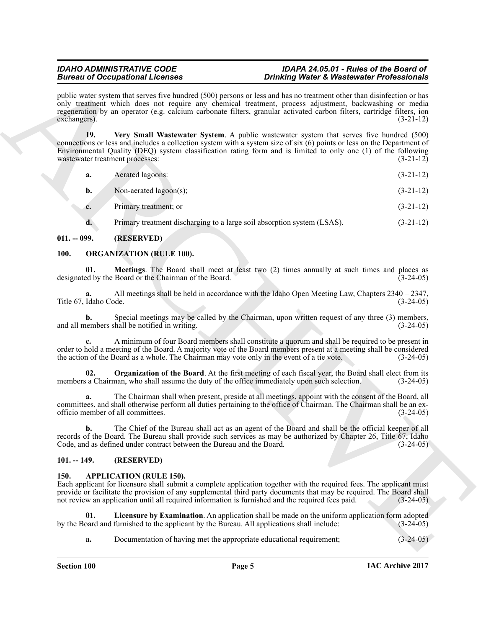public water system that serves five hundred (500) persons or less and has no treatment other than disinfection or has only treatment which does not require any chemical treatment, process adjustment, backwashing or media regeneration by an operator (e.g. calcium carbonate filters, granular activated carbon filters, cartridge filters, ion exchangers). (3-21-12)

Brain of Occupation Licensins<br>
and the state of the state of the state of the state of the state of the state of the state of the state of the state of the state of the state of the state of the state of the state of the **19. Very Small Wastewater System**. A public wastewater system that serves five hundred (500) connections or less and includes a collection system with a system size of six (6) points or less on the Department of Environmental Quality (DEQ) system classification rating form and is limited to only one (1) of the following wastewater treatment processes: (3-21-12)

<span id="page-4-6"></span>

| а. | Aerated lagoons:          | $(3-21-12)$ |
|----|---------------------------|-------------|
| b. | Non-aerated $lagoon(s)$ ; | $(3-21-12)$ |
|    |                           |             |

**c.** Primary treatment; or (3-21-12)

<span id="page-4-8"></span><span id="page-4-7"></span>**d.** Primary treatment discharging to a large soil absorption system (LSAS).  $(3-21-12)$ 

#### <span id="page-4-0"></span>**011. -- 099. (RESERVED)**

### <span id="page-4-1"></span>**100. ORGANIZATION (RULE 100).**

**01. Meetings**. The Board shall meet at least two (2) times annually at such times and places as ed by the Board or the Chairman of the Board. (3-24-05) designated by the Board or the Chairman of the Board.

**a.** All meetings shall be held in accordance with the Idaho Open Meeting Law, Chapters 2340 – 2347, Idaho Code. (3-24-05) Title 67, Idaho Code.

**b.** Special meetings may be called by the Chairman, upon written request of any three (3) members, eembers shall be notified in writing.  $(3-24-05)$ and all members shall be notified in writing.

**c.** A minimum of four Board members shall constitute a quorum and shall be required to be present in order to hold a meeting of the Board. A majority vote of the Board members present at a meeting shall be considered the action of the Board as a whole. The Chairman may vote only in the event of a tie vote. (3-24-05) the action of the Board as a whole. The Chairman may vote only in the event of a tie vote.

<span id="page-4-9"></span>**02. Organization of the Board**. At the first meeting of each fiscal year, the Board shall elect from its a Chairman, who shall assume the duty of the office immediately upon such selection. (3-24-05) members a Chairman, who shall assume the duty of the office immediately upon such selection.

**a.** The Chairman shall when present, preside at all meetings, appoint with the consent of the Board, all committees, and shall otherwise perform all duties pertaining to the office of Chairman. The Chairman shall be an ex-<br>officio member of all committees. officio member of all committees. (3-24-05)

**b.** The Chief of the Bureau shall act as an agent of the Board and shall be the official keeper of all records of the Board. The Bureau shall provide such services as may be authorized by Chapter 26, Title 67, Idaho Code, and as defined under contract between the Bureau and the Board. (3-24-05) Code, and as defined under contract between the Bureau and the Board.

#### <span id="page-4-2"></span>**101. -- 149. (RESERVED)**

#### <span id="page-4-4"></span><span id="page-4-3"></span>**150. APPLICATION (RULE 150).**

Each applicant for licensure shall submit a complete application together with the required fees. The applicant must provide or facilitate the provision of any supplemental third party documents that may be required. The Board shall not review an application until all required information is furnished and the required fees paid.  $(3-24-05)$ 

**01.** Licensure by Examination. An application shall be made on the uniform application form adopted pard and furnished to the applicant by the Bureau. All applications shall include:  $(3-24-05)$ by the Board and furnished to the applicant by the Bureau. All applications shall include:

<span id="page-4-5"></span>**a.** Documentation of having met the appropriate educational requirement;  $(3-24-05)$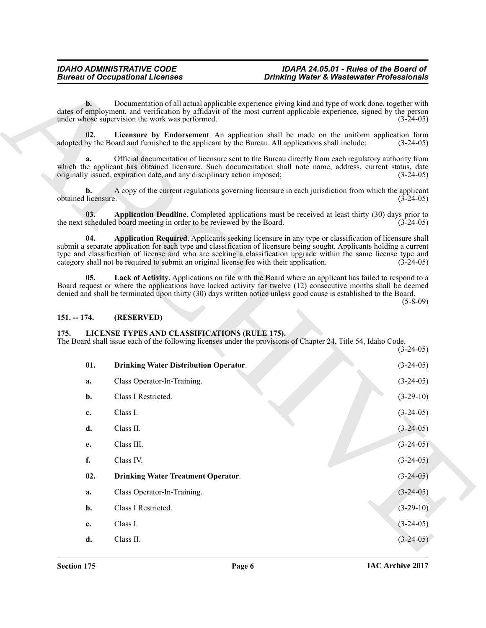#### <span id="page-5-4"></span><span id="page-5-3"></span><span id="page-5-2"></span><span id="page-5-0"></span>**151. -- 174. (RESERVED)**

#### <span id="page-5-8"></span><span id="page-5-7"></span><span id="page-5-6"></span><span id="page-5-1"></span>**175. LICENSE TYPES AND CLASSIFICATIONS (RULE 175).**

<span id="page-5-5"></span>

|                           | <b>Bureau of Occupational Licenses</b>                                                                                                                                                                                                                                                                                                                                                                                                        | <b>Drinking Water &amp; Wastewater Professionals</b> |                            |
|---------------------------|-----------------------------------------------------------------------------------------------------------------------------------------------------------------------------------------------------------------------------------------------------------------------------------------------------------------------------------------------------------------------------------------------------------------------------------------------|------------------------------------------------------|----------------------------|
| $\mathbf{b}$ .            | Documentation of all actual applicable experience giving kind and type of work done, together with<br>dates of employment, and verification by affidavit of the most current applicable experience, signed by the person<br>under whose supervision the work was performed.                                                                                                                                                                   |                                                      | $(3-24-05)$                |
| 02.                       | Licensure by Endorsement. An application shall be made on the uniform application form<br>adopted by the Board and furnished to the applicant by the Bureau. All applications shall include:                                                                                                                                                                                                                                                  |                                                      | $(3-24-05)$                |
| a.                        | Official documentation of licensure sent to the Bureau directly from each regulatory authority from<br>which the applicant has obtained licensure. Such documentation shall note name, address, current status, date<br>originally issued, expiration date, and any disciplinary action imposed;                                                                                                                                              |                                                      | $(3-24-05)$                |
| b.<br>obtained licensure. | A copy of the current regulations governing licensure in each jurisdiction from which the applicant                                                                                                                                                                                                                                                                                                                                           |                                                      | $(3-24-05)$                |
| 03.                       | Application Deadline. Completed applications must be received at least thirty (30) days prior to<br>the next scheduled board meeting in order to be reviewed by the Board.                                                                                                                                                                                                                                                                    |                                                      | $(3-24-05)$                |
| 04.                       | Application Required. Applicants seeking licensure in any type or classification of licensure shall<br>submit a separate application for each type and classification of licensure being sought. Applicants holding a current<br>type and classification of license and who are seeking a classification upgrade within the same license type and<br>category shall not be required to submit an original license fee with their application. |                                                      | $(3-24-05)$                |
| 05.                       | Lack of Activity. Applications on file with the Board where an applicant has failed to respond to a<br>Board request or where the applications have lacked activity for twelve (12) consecutive months shall be deemed<br>denied and shall be terminated upon thirty (30) days written notice unless good cause is established to the Board.                                                                                                  |                                                      | $(5 - 8 - 09)$             |
|                           |                                                                                                                                                                                                                                                                                                                                                                                                                                               |                                                      |                            |
| $151. - 174.$             | (RESERVED)                                                                                                                                                                                                                                                                                                                                                                                                                                    |                                                      |                            |
| 175.                      | LICENSE TYPES AND CLASSIFICATIONS (RULE 175).<br>The Board shall issue each of the following licenses under the provisions of Chapter 24, Title 54, Idaho Code.                                                                                                                                                                                                                                                                               |                                                      |                            |
| 01.                       | <b>Drinking Water Distribution Operator.</b>                                                                                                                                                                                                                                                                                                                                                                                                  |                                                      | $(3-24-05)$<br>$(3-24-05)$ |
| a.                        | Class Operator-In-Training.                                                                                                                                                                                                                                                                                                                                                                                                                   |                                                      | $(3-24-05)$                |
| b.                        | Class I Restricted.                                                                                                                                                                                                                                                                                                                                                                                                                           |                                                      | $(3-29-10)$                |
| c.                        | Class I.                                                                                                                                                                                                                                                                                                                                                                                                                                      |                                                      | $(3-24-05)$                |
| d.                        | Class II.                                                                                                                                                                                                                                                                                                                                                                                                                                     |                                                      | $(3-24-05)$                |
| e.                        | Class III.                                                                                                                                                                                                                                                                                                                                                                                                                                    |                                                      | $(3-24-05)$                |
| f.                        | Class IV.                                                                                                                                                                                                                                                                                                                                                                                                                                     |                                                      | $(3-24-05)$                |
| 02.                       | <b>Drinking Water Treatment Operator.</b>                                                                                                                                                                                                                                                                                                                                                                                                     |                                                      | $(3-24-05)$                |
| a.                        | Class Operator-In-Training.                                                                                                                                                                                                                                                                                                                                                                                                                   |                                                      | $(3-24-05)$                |
| b.                        | Class I Restricted.                                                                                                                                                                                                                                                                                                                                                                                                                           |                                                      | $(3-29-10)$                |
| c.                        | Class I.                                                                                                                                                                                                                                                                                                                                                                                                                                      |                                                      | $(3-24-05)$                |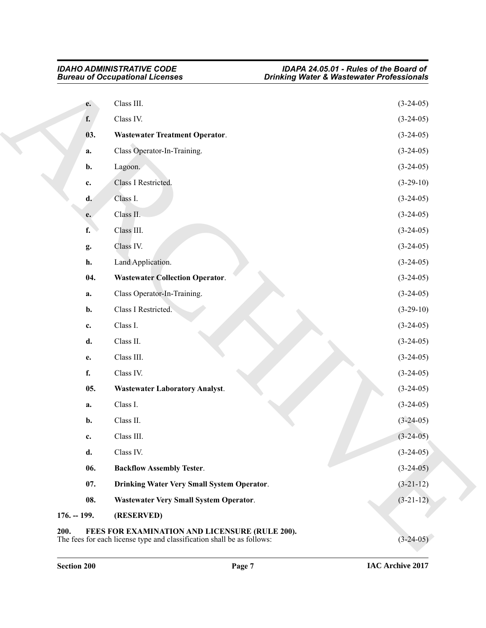<span id="page-6-8"></span><span id="page-6-7"></span><span id="page-6-6"></span><span id="page-6-5"></span><span id="page-6-4"></span><span id="page-6-3"></span><span id="page-6-2"></span><span id="page-6-1"></span><span id="page-6-0"></span>

|               | <b>Bureau of Occupational Licenses</b>                                                                                   | <b>Drinking Water &amp; Wastewater Professionals</b> |
|---------------|--------------------------------------------------------------------------------------------------------------------------|------------------------------------------------------|
| e.            | Class III.                                                                                                               | $(3-24-05)$                                          |
| f.            | Class IV.                                                                                                                | $(3-24-05)$                                          |
| 03.           | <b>Wastewater Treatment Operator.</b>                                                                                    | $(3-24-05)$                                          |
| a.            | Class Operator-In-Training.                                                                                              | $(3-24-05)$                                          |
| b.            | Lagoon.                                                                                                                  | $(3-24-05)$                                          |
| c.            | Class I Restricted.                                                                                                      | $(3-29-10)$                                          |
| d.            | Class I.                                                                                                                 | $(3-24-05)$                                          |
| e.            | Class II.                                                                                                                | $(3-24-05)$                                          |
| f.            | Class III.                                                                                                               | $(3-24-05)$                                          |
| g.            | Class IV.                                                                                                                | $(3-24-05)$                                          |
| h.            | Land Application.                                                                                                        | $(3-24-05)$                                          |
| 04.           | <b>Wastewater Collection Operator.</b>                                                                                   | $(3-24-05)$                                          |
| a.            | Class Operator-In-Training.                                                                                              | $(3-24-05)$                                          |
| b.            | Class I Restricted.                                                                                                      | $(3-29-10)$                                          |
| c.            | Class I.                                                                                                                 | $(3-24-05)$                                          |
| d.            | Class II.                                                                                                                | $(3-24-05)$                                          |
| e.            | Class III.                                                                                                               | $(3-24-05)$                                          |
| f.            | Class IV.                                                                                                                | $(3-24-05)$                                          |
| 05.           | <b>Wastewater Laboratory Analyst.</b>                                                                                    | $(3-24-05)$                                          |
| a.            | Class I.                                                                                                                 | $(3-24-05)$                                          |
| b.            | Class II.                                                                                                                | $(3-24-05)$                                          |
| c.            | Class III.                                                                                                               | $(3-24-05)$                                          |
| d.            | Class IV.                                                                                                                | $(3-24-05)$                                          |
| 06.           | <b>Backflow Assembly Tester.</b>                                                                                         | $(3-24-05)$                                          |
| 07.           | Drinking Water Very Small System Operator.                                                                               | $(3-21-12)$                                          |
| 08.           | <b>Wastewater Very Small System Operator.</b>                                                                            | $(3-21-12)$                                          |
| $176. - 199.$ | (RESERVED)                                                                                                               |                                                      |
| 200.          | FEES FOR EXAMINATION AND LICENSURE (RULE 200).<br>The fees for each license type and classification shall be as follows: | $(3-24-05)$                                          |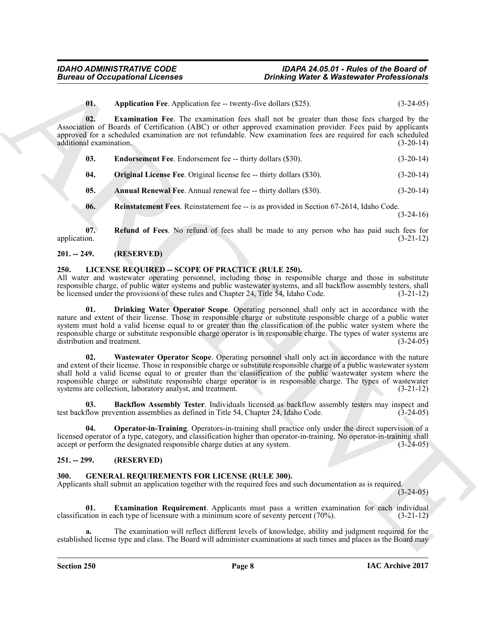<span id="page-7-7"></span><span id="page-7-5"></span>**01.** Application Fee. Application fee -- twenty-five dollars (\$25). (3-24-05)

**02. Examination Fee**. The examination fees shall not be greater than those fees charged by the Association of Boards of Certification (ABC) or other approved examination provider. Fees paid by applicants approved for a scheduled examination are not refundable. New examination fees are required for each scheduled additional examination. (3-20-14) additional examination.

<span id="page-7-6"></span>

| 03. | <b>Endorsement Fee.</b> Endorsement fee -- thirty dollars (\$30). | $(3-20-14)$ |
|-----|-------------------------------------------------------------------|-------------|
|-----|-------------------------------------------------------------------|-------------|

<span id="page-7-8"></span>**04.** Original License Fee. Original license fee -- thirty dollars (\$30). (3-20-14)

<span id="page-7-4"></span>**05. Annual Renewal Fee**. Annual renewal fee -- thirty dollars (\$30). (3-20-14)

<span id="page-7-10"></span><span id="page-7-9"></span>**06.** Reinstatement Fees. Reinstatement fee -- is as provided in Section 67-2614, Idaho Code.  $(3-24-16)$ 

**07. Refund of Fees**. No refund of fees shall be made to any person who has paid such fees for application. (3-21-12)

#### <span id="page-7-0"></span>**201. -- 249. (RESERVED)**

#### <span id="page-7-13"></span><span id="page-7-1"></span>**250. LICENSE REQUIRED -- SCOPE OF PRACTICE (RULE 250).**

<span id="page-7-15"></span>All water and wastewater operating personnel, including those in responsible charge and those in substitute responsible charge, of public water systems and public wastewater systems, and all backflow assembly testers, shall<br>be licensed under the provisions of these rules and Chapter 24. Title 54. Idaho Code. (3-21-12) be licensed under the provisions of these rules and Chapter 24, Title 54, Idaho Code.

**Bureau of Occupational Licenses**<br> **Contained by the control of the state of the control of the state of the state of the state of the state of the state of the state of the state of the state of the state of the state of 01. Drinking Water Operator Scope**. Operating personnel shall only act in accordance with the nature and extent of their license. Those in responsible charge or substitute responsible charge of a public water system must hold a valid license equal to or greater than the classification of the public water system where the responsible charge or substitute responsible charge operator is in responsible charge. The types of water systems are distribution and treatment.

<span id="page-7-17"></span>**02. Wastewater Operator Scope**. Operating personnel shall only act in accordance with the nature and extent of their license. Those in responsible charge or substitute responsible charge of a public wastewater system shall hold a valid license equal to or greater than the classification of the public wastewater system where the responsible charge or substitute responsible charge operator is in responsible charge. The types of wastewater systems are collection, laboratory analyst, and treatment. (3-21-12) systems are collection, laboratory analyst, and treatment.

<span id="page-7-14"></span>**03. Backflow Assembly Tester**. Individuals licensed as backflow assembly testers may inspect and flow prevention assemblies as defined in Title 54. Chapter 24. Idaho Code. (3-24-05) test backflow prevention assemblies as defined in Title 54, Chapter 24, Idaho Code.

<span id="page-7-16"></span>**04. Operator-in-Training**. Operators-in-training shall practice only under the direct supervision of a licensed operator of a type, category, and classification higher than operator-in-training. No operator-in-training shall accept or perform the designated responsible charge duties at any system.  $(3-24-05)$ accept or perform the designated responsible charge duties at any system.

#### <span id="page-7-2"></span>**251. -- 299. (RESERVED)**

#### <span id="page-7-11"></span><span id="page-7-3"></span>**300. GENERAL REQUIREMENTS FOR LICENSE (RULE 300).**

Applicants shall submit an application together with the required fees and such documentation as is required.

 $(3-24-05)$ 

<span id="page-7-12"></span>**01. Examination Requirement**. Applicants must pass a written examination for each individual ation in each type of licensure with a minimum score of seventy percent (70%). (3-21-12) classification in each type of licensure with a minimum score of seventy percent  $(70\%)$ .

**a.** The examination will reflect different levels of knowledge, ability and judgment required for the established license type and class. The Board will administer examinations at such times and places as the Board may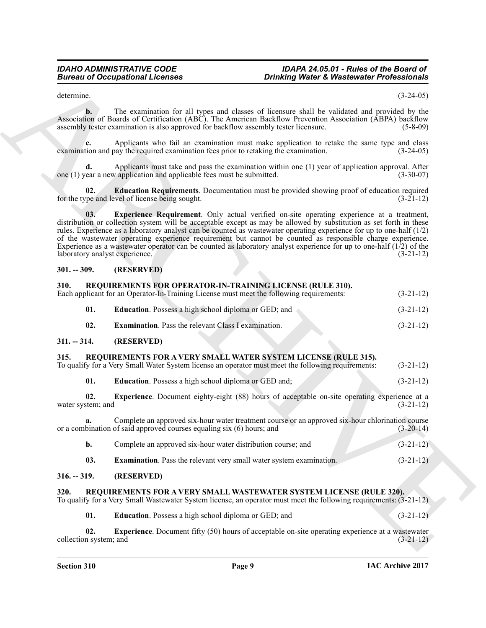determine. (3-24-05)

**b.** The examination for all types and classes of licensure shall be validated and provided by the Association of Boards of Certification (ABC). The American Backflow Prevention Association (ABPA) backflow assembly tester examination is also approved for backflow assembly tester licensure. (5-8-09)

**c.** Applicants who fail an examination must make application to retake the same type and class tion and pay the required examination fees prior to retaking the examination. (3-24-05) examination and pay the required examination fees prior to retaking the examination.

Applicants must take and pass the examination within one (1) year of application approval. After v application and applicable fees must be submitted. (3-30-07) one  $(1)$  year a new application and applicable fees must be submitted.

<span id="page-8-7"></span><span id="page-8-6"></span>**02. Education Requirements**. Documentation must be provided showing proof of education required for the type and level of license being sought.

Bureau of Occupational Licensies<br>
4-manns Theorem Street of Physician Control of Physician Control of National Control of National Control of National Control of National Control of National Control of National Control of **03. Experience Requirement**. Only actual verified on-site operating experience at a treatment, distribution or collection system will be acceptable except as may be allowed by substitution as set forth in these rules. Experience as a laboratory analyst can be counted as wastewater operating experience for up to one-half (1/2) of the wastewater operating experience requirement but cannot be counted as responsible charge experience. Experience as a wastewater operator can be counted as laboratory analyst experience for up to one-half (1/2) of the laboratory analyst experience. (3-21-12)

#### <span id="page-8-0"></span>**301. -- 309. (RESERVED)**

## <span id="page-8-15"></span><span id="page-8-1"></span>**310. REQUIREMENTS FOR OPERATOR-IN-TRAINING LICENSE (RULE 310).** Each applicant for an Operator-In-Training License must meet the following requirements:

<span id="page-8-17"></span><span id="page-8-16"></span>

|     | Each applicant for an Operator-In-Training License must meet the following requirements: | $(3-21-12)$ |
|-----|------------------------------------------------------------------------------------------|-------------|
| 01. | <b>Education</b> . Possess a high school diploma or GED; and                             | $(3-21-12)$ |
| 02. | <b>Examination.</b> Pass the relevant Class I examination.                               | $(3-21-12)$ |

#### <span id="page-8-2"></span>**311. -- 314. (RESERVED)**

#### <span id="page-8-11"></span><span id="page-8-3"></span>**315. REQUIREMENTS FOR A VERY SMALL WATER SYSTEM LICENSE (RULE 315).**

|  |                                                                                                    | $(3-21-12)$ |
|--|----------------------------------------------------------------------------------------------------|-------------|
|  |                                                                                                    |             |
|  | To qualify for a Very Small Water System license an operator must meet the following requirements: |             |
|  |                                                                                                    |             |

<span id="page-8-14"></span><span id="page-8-12"></span>**01. Education**. Possess a high school diploma or GED and; (3-21-12)

**02.** Experience. Document eighty-eight (88) hours of acceptable on-site operating experience at a stem; and (3-21-12) water system; and

**a.** Complete an approved six-hour water treatment course or an approved six-hour chlorination course or a combination of said approved courses equaling six (6) hours; and (3-20-14)

- <span id="page-8-13"></span>**b.** Complete an approved six-hour water distribution course; and  $(3-21-12)$
- <span id="page-8-8"></span>**03. Examination**. Pass the relevant very small water system examination. (3-21-12)

#### <span id="page-8-4"></span>**316. -- 319. (RESERVED)**

#### <span id="page-8-5"></span>**320. REQUIREMENTS FOR A VERY SMALL WASTEWATER SYSTEM LICENSE (RULE 320).**

To qualify for a Very Small Wastewater System license, an operator must meet the following requirements: (3-21-12)

<span id="page-8-10"></span><span id="page-8-9"></span>**01. Education**. Possess a high school diploma or GED; and (3-21-12)

**02. Experience**. Document fifty (50) hours of acceptable on-site operating experience at a wastewater in system; and (3-21-12) collection system; and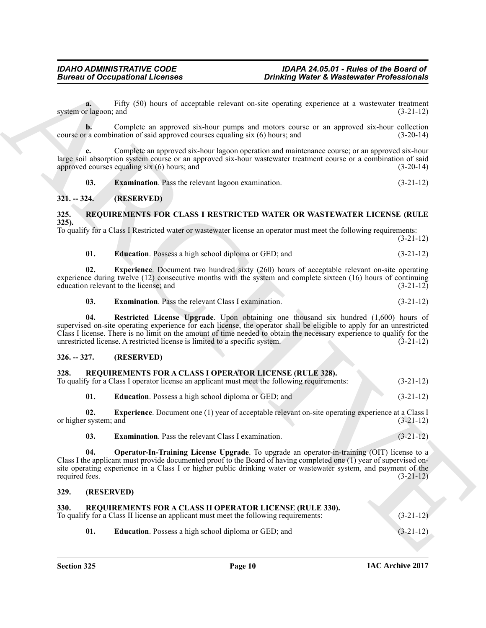**a.** Fifty (50) hours of acceptable relevant on-site operating experience at a wastewater treatment r lagoon; and (3-21-12) system or lagoon; and

**b.** Complete an approved six-hour pumps and motors course or an approved six-hour collection r a combination of said approved courses equaling six (6) hours; and (3-20-14) course or a combination of said approved courses equaling  $six(6)$  hours; and

**c.** Complete an approved six-hour lagoon operation and maintenance course; or an approved six-hour large soil absorption system course or an approved six-hour wastewater treatment course or a combination of said approved courses equaling six  $(6)$  hours; and  $(3-20-14)$ 

<span id="page-9-13"></span>**03. Examination**. Pass the relevant lagoon examination. (3-21-12)

#### <span id="page-9-0"></span>**321. -- 324. (RESERVED)**

#### <span id="page-9-14"></span><span id="page-9-1"></span>**325. REQUIREMENTS FOR CLASS I RESTRICTED WATER OR WASTEWATER LICENSE (RULE 325).**

To qualify for a Class I Restricted water or wastewater license an operator must meet the following requirements: (3-21-12)

<span id="page-9-17"></span><span id="page-9-15"></span>

| 01. |  | <b>Education</b> . Possess a high school diploma or GED; and | $(3-21-12)$ |
|-----|--|--------------------------------------------------------------|-------------|
|     |  |                                                              |             |

**02. Experience**. Document two hundred sixty (260) hours of acceptable relevant on-site operating experience during twelve (12) consecutive months with the system and complete sixteen (16) hours of continuing education relevant to the license; and (3-21-12)

<span id="page-9-18"></span><span id="page-9-16"></span>**03. Examination**. Pass the relevant Class I examination. (3-21-12)

**04. Restricted License Upgrade**. Upon obtaining one thousand six hundred (1,600) hours of supervised on-site operating experience for each license, the operator shall be eligible to apply for an unrestricted Class I license. There is no limit on the amount of time needed to obtain the necessary experience to qualify for the unrestricted license. A restricted license is limited to a specific system. (3-21-12) unrestricted license. A restricted license is limited to a specific system. (3-21-12)

#### <span id="page-9-2"></span>**326. -- 327. (RESERVED)**

### <span id="page-9-6"></span><span id="page-9-3"></span>**328. REQUIREMENTS FOR A CLASS I OPERATOR LICENSE (RULE 328).**

To qualify for a Class I operator license an applicant must meet the following requirements: (3-21-12)

<span id="page-9-9"></span><span id="page-9-7"></span>**01. Education**. Possess a high school diploma or GED; and (3-21-12)

**02. Experience**. Document one (1) year of acceptable relevant on-site operating experience at a Class I (3-21-12) or higher system; and

<span id="page-9-10"></span><span id="page-9-8"></span>**03. Examination**. Pass the relevant Class I examination. (3-21-12)

**Bureau of Occupations I. Leonards**<br> **Contains (Eq. 1)** SU) bount of acceptable relevant transic experiments and accepted relevant in the state of accepted relevant of acting the containing experiments of a state of actin **04. Operator-In-Training License Upgrade**. To upgrade an operator-in-training (OIT) license to a Class I the applicant must provide documented proof to the Board of having completed one (1) year of supervised onsite operating experience in a Class I or higher public drinking water or wastewater system, and payment of the required fees. (3-21-12) required fees.  $(3-21-12)$ 

#### <span id="page-9-4"></span>**329. (RESERVED)**

#### <span id="page-9-11"></span><span id="page-9-5"></span>**330. REQUIREMENTS FOR A CLASS II OPERATOR LICENSE (RULE 330).** To qualify for a Class II license an applicant must meet the following requirements: (3-21-12)

<span id="page-9-12"></span>**01. Education**. Possess a high school diploma or GED; and (3-21-12)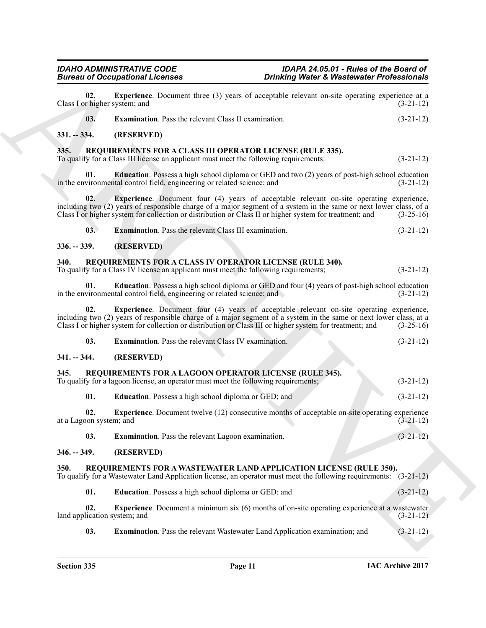<span id="page-10-25"></span><span id="page-10-24"></span><span id="page-10-23"></span><span id="page-10-22"></span><span id="page-10-21"></span><span id="page-10-20"></span><span id="page-10-19"></span><span id="page-10-18"></span><span id="page-10-17"></span><span id="page-10-16"></span><span id="page-10-15"></span><span id="page-10-14"></span><span id="page-10-13"></span><span id="page-10-12"></span><span id="page-10-11"></span><span id="page-10-10"></span><span id="page-10-9"></span><span id="page-10-8"></span><span id="page-10-7"></span><span id="page-10-6"></span><span id="page-10-5"></span><span id="page-10-4"></span><span id="page-10-3"></span><span id="page-10-2"></span><span id="page-10-1"></span><span id="page-10-0"></span>

|                                      | <b>Bureau of Occupational Licenses</b>                                                                                                                                                                                                                                                                                            | <b>Drinking Water &amp; Wastewater Professionals</b> |  |  |  |  |
|--------------------------------------|-----------------------------------------------------------------------------------------------------------------------------------------------------------------------------------------------------------------------------------------------------------------------------------------------------------------------------------|------------------------------------------------------|--|--|--|--|
| 02.<br>Class I or higher system; and | <b>Experience</b> . Document three (3) years of acceptable relevant on-site operating experience at a                                                                                                                                                                                                                             | $(3-21-12)$                                          |  |  |  |  |
| 03.                                  | <b>Examination.</b> Pass the relevant Class II examination.                                                                                                                                                                                                                                                                       | $(3-21-12)$                                          |  |  |  |  |
| $331. - 334.$                        | (RESERVED)                                                                                                                                                                                                                                                                                                                        |                                                      |  |  |  |  |
| 335.                                 | REQUIREMENTS FOR A CLASS III OPERATOR LICENSE (RULE 335).<br>To qualify for a Class III license an applicant must meet the following requirements:                                                                                                                                                                                | $(3-21-12)$                                          |  |  |  |  |
| 01.                                  | <b>Education</b> . Possess a high school diploma or GED and two (2) years of post-high school education<br>in the environmental control field, engineering or related science; and                                                                                                                                                | $(3-21-12)$                                          |  |  |  |  |
| 02.                                  | <b>Experience</b> . Document four (4) years of acceptable relevant on-site operating experience,<br>including two (2) years of responsible charge of a major segment of a system in the same or next lower class, of a<br>Class I or higher system for collection or distribution or Class II or higher system for treatment; and | $(3-25-16)$                                          |  |  |  |  |
| 03.                                  | <b>Examination.</b> Pass the relevant Class III examination.                                                                                                                                                                                                                                                                      | $(3-21-12)$                                          |  |  |  |  |
| $336. - 339.$                        | (RESERVED)                                                                                                                                                                                                                                                                                                                        |                                                      |  |  |  |  |
| 340.                                 | REQUIREMENTS FOR A CLASS IV OPERATOR LICENSE (RULE 340).<br>To qualify for a Class IV license an applicant must meet the following requirements;                                                                                                                                                                                  | $(3-21-12)$                                          |  |  |  |  |
| 01.                                  | <b>Education</b> . Possess a high school diploma or GED and four (4) years of post-high school education<br>in the environmental control field, engineering or related science; and                                                                                                                                               | $(3-21-12)$                                          |  |  |  |  |
| 02.                                  | <b>Experience.</b> Document four (4) years of acceptable relevant on-site operating experience,<br>including two (2) years of responsible charge of a major segment of a system in the same or next lower class, at a<br>Class I or higher system for collection or distribution or Class III or higher system for treatment; and | $(3-25-16)$                                          |  |  |  |  |
| 03.                                  | <b>Examination</b> . Pass the relevant Class IV examination.                                                                                                                                                                                                                                                                      | $(3-21-12)$                                          |  |  |  |  |
| $341. - 344.$                        | (RESERVED)                                                                                                                                                                                                                                                                                                                        |                                                      |  |  |  |  |
| 345.                                 | REQUIREMENTS FOR A LAGOON OPERATOR LICENSE (RULE 345).<br>To qualify for a lagoon license, an operator must meet the following requirements;                                                                                                                                                                                      | $(3-21-12)$                                          |  |  |  |  |
| 01.                                  | <b>Education</b> . Possess a high school diploma or GED; and                                                                                                                                                                                                                                                                      | $(3-21-12)$                                          |  |  |  |  |
| 02.<br>at a Lagoon system; and       | <b>Experience</b> . Document twelve (12) consecutive months of acceptable on-site operating experience                                                                                                                                                                                                                            | $(3-21-12)$                                          |  |  |  |  |
| 03.                                  | Examination. Pass the relevant Lagoon examination.                                                                                                                                                                                                                                                                                | $(3-21-12)$                                          |  |  |  |  |
| $346. - 349.$                        | (RESERVED)                                                                                                                                                                                                                                                                                                                        |                                                      |  |  |  |  |
| 350.                                 | REQUIREMENTS FOR A WASTEWATER LAND APPLICATION LICENSE (RULE 350).<br>To qualify for a Wastewater Land Application license, an operator must meet the following requirements: (3-21-12)                                                                                                                                           |                                                      |  |  |  |  |
| 01.                                  | Education. Possess a high school diploma or GED: and                                                                                                                                                                                                                                                                              | $(3-21-12)$                                          |  |  |  |  |
| 02.                                  | <b>Experience</b> . Document a minimum six (6) months of on-site operating experience at a wastewater                                                                                                                                                                                                                             | $(3-21-12)$                                          |  |  |  |  |
| land application system; and         |                                                                                                                                                                                                                                                                                                                                   |                                                      |  |  |  |  |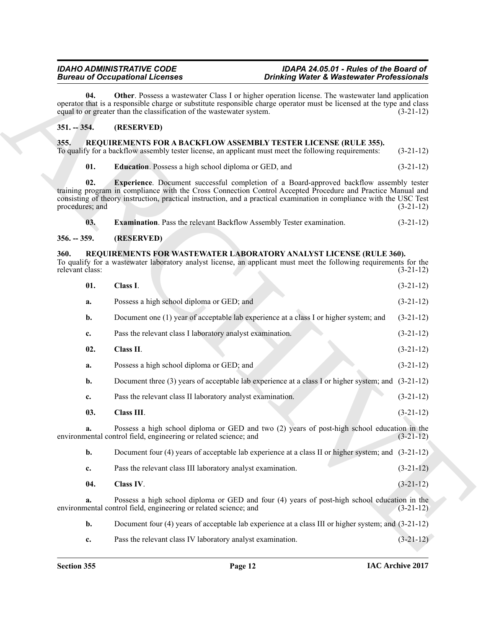#### <span id="page-11-8"></span><span id="page-11-0"></span>**351. -- 354. (RESERVED)**

#### <span id="page-11-7"></span><span id="page-11-5"></span><span id="page-11-4"></span><span id="page-11-1"></span>**355. REQUIREMENTS FOR A BACKFLOW ASSEMBLY TESTER LICENSE (RULE 355).**

#### <span id="page-11-6"></span><span id="page-11-2"></span>**356. -- 359. (RESERVED)**

#### <span id="page-11-13"></span><span id="page-11-12"></span><span id="page-11-11"></span><span id="page-11-10"></span><span id="page-11-9"></span><span id="page-11-3"></span>**360. REQUIREMENTS FOR WASTEWATER LABORATORY ANALYST LICENSE (RULE 360).**

| <b>Bureau of Occupational Licenses</b> |                        |                                                                                                                                                                                                                                                                                                                                        | <b>Drinking Water &amp; Wastewater Professionals</b> |  |  |  |  |
|----------------------------------------|------------------------|----------------------------------------------------------------------------------------------------------------------------------------------------------------------------------------------------------------------------------------------------------------------------------------------------------------------------------------|------------------------------------------------------|--|--|--|--|
|                                        | 04.                    | <b>Other</b> . Possess a wastewater Class I or higher operation license. The wastewater land application<br>operator that is a responsible charge or substitute responsible charge operator must be licensed at the type and class<br>equal to or greater than the classification of the wastewater system.                            | $(3-21-12)$                                          |  |  |  |  |
| $351. - 354.$                          |                        | (RESERVED)                                                                                                                                                                                                                                                                                                                             |                                                      |  |  |  |  |
| 355.                                   |                        | REQUIREMENTS FOR A BACKFLOW ASSEMBLY TESTER LICENSE (RULE 355).<br>To qualify for a backflow assembly tester license, an applicant must meet the following requirements:                                                                                                                                                               | $(3-21-12)$                                          |  |  |  |  |
|                                        | 01.                    | <b>Education</b> . Possess a high school diploma or GED, and                                                                                                                                                                                                                                                                           | $(3-21-12)$                                          |  |  |  |  |
|                                        | 02.<br>procedures; and | <b>Experience</b> . Document successful completion of a Board-approved backflow assembly tester<br>training program in compliance with the Cross Connection Control Accepted Procedure and Practice Manual and<br>consisting of theory instruction, practical instruction, and a practical examination in compliance with the USC Test | $(3-21-12)$                                          |  |  |  |  |
|                                        | 03.                    | <b>Examination</b> . Pass the relevant Backflow Assembly Tester examination.                                                                                                                                                                                                                                                           | $(3-21-12)$                                          |  |  |  |  |
| $356. - 359.$                          |                        | (RESERVED)                                                                                                                                                                                                                                                                                                                             |                                                      |  |  |  |  |
| <b>360.</b><br>relevant class:         |                        | REQUIREMENTS FOR WASTEWATER LABORATORY ANALYST LICENSE (RULE 360).<br>To qualify for a wastewater laboratory analyst license, an applicant must meet the following requirements for the                                                                                                                                                | $(3-21-12)$                                          |  |  |  |  |
|                                        | 01.                    | Class I.                                                                                                                                                                                                                                                                                                                               | $(3-21-12)$                                          |  |  |  |  |
|                                        | a.                     | Possess a high school diploma or GED; and                                                                                                                                                                                                                                                                                              | $(3-21-12)$                                          |  |  |  |  |
|                                        | b.                     | Document one (1) year of acceptable lab experience at a class I or higher system; and                                                                                                                                                                                                                                                  | $(3-21-12)$                                          |  |  |  |  |
|                                        | c.                     | Pass the relevant class I laboratory analyst examination.                                                                                                                                                                                                                                                                              | $(3-21-12)$                                          |  |  |  |  |
|                                        | 02.                    | Class II.                                                                                                                                                                                                                                                                                                                              | $(3-21-12)$                                          |  |  |  |  |
|                                        | a.                     | Possess a high school diploma or GED; and                                                                                                                                                                                                                                                                                              | $(3-21-12)$                                          |  |  |  |  |
|                                        | b.                     | Document three (3) years of acceptable lab experience at a class I or higher system; and (3-21-12)                                                                                                                                                                                                                                     |                                                      |  |  |  |  |
|                                        | c.                     | Pass the relevant class II laboratory analyst examination.                                                                                                                                                                                                                                                                             | $(3-21-12)$                                          |  |  |  |  |
|                                        | 03.                    | Class III.                                                                                                                                                                                                                                                                                                                             | $(3-21-12)$                                          |  |  |  |  |
|                                        |                        | Possess a high school diploma or GED and two (2) years of post-high school education in the<br>environmental control field, engineering or related science; and                                                                                                                                                                        | $(3-21-12)$                                          |  |  |  |  |
|                                        | b.                     | Document four (4) years of acceptable lab experience at a class II or higher system; and $(3-21-12)$                                                                                                                                                                                                                                   |                                                      |  |  |  |  |
|                                        | c.                     | Pass the relevant class III laboratory analyst examination.                                                                                                                                                                                                                                                                            | $(3-21-12)$                                          |  |  |  |  |
|                                        | 04.                    | Class IV.                                                                                                                                                                                                                                                                                                                              | $(3-21-12)$                                          |  |  |  |  |
|                                        | a.                     | Possess a high school diploma or GED and four (4) years of post-high school education in the<br>environmental control field, engineering or related science; and                                                                                                                                                                       | $(3-21-12)$                                          |  |  |  |  |
|                                        | b.                     | Document four (4) years of acceptable lab experience at a class III or higher system; and $(3-21-12)$                                                                                                                                                                                                                                  |                                                      |  |  |  |  |
|                                        |                        |                                                                                                                                                                                                                                                                                                                                        |                                                      |  |  |  |  |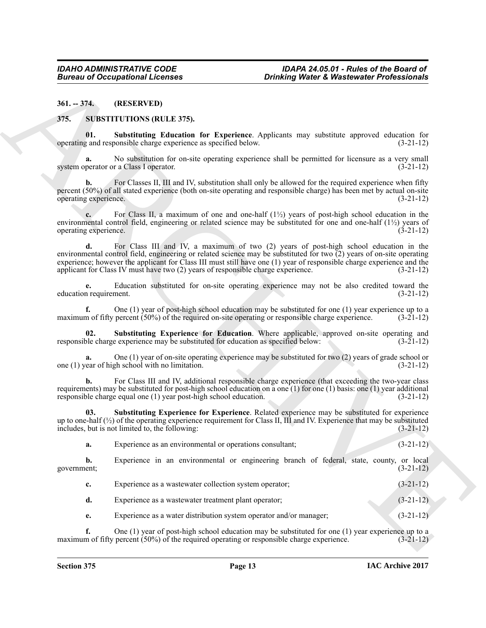<span id="page-12-0"></span>**361. -- 374. (RESERVED)**

#### <span id="page-12-3"></span><span id="page-12-2"></span><span id="page-12-1"></span>**375. SUBSTITUTIONS (RULE 375).**

**01. Substituting Education for Experience**. Applicants may substitute approved education for operating and responsible charge experience as specified below.

No substitution for on-site operating experience shall be permitted for licensure as a very small system operator or a Class I operator. (3-21-12)

For Classes II, III and IV, substitution shall only be allowed for the required experience when fifty percent (50%) of all stated experience (both on-site operating and responsible charge) has been met by actual on-site operating experience.

**c.** For Class II, a maximum of one and one-half (1½) years of post-high school education in the environmental control field, engineering or related science may be substituted for one and one-half (1½) years of operating experience.  $(3-21-12)$ operating experience.

**Bureau of Occupational Licenses**<br> **Drinkling Water's Washesseler Professionals**<br>
24.1-774. **(IRENET IVITONS INCLUS 255).**<br>
37. SUBSTITUTIONS INCLUS 255).<br>
SUBSTITUTIONS INCLUS 255).<br>
SUBSTITUTIONS INCLUS 255).<br>
SUBSTITUT **d.** For Class III and IV, a maximum of two (2) years of post-high school education in the environmental control field, engineering or related science may be substituted for two  $\overline{2}$ ) years of on-site operating experience; however the applicant for Class III must still have one (1) year of responsible charge experience and the applicant for Class IV must have two (2) years of responsible charge experience. (3-21-12) applicant for Class IV must have two  $(2)$  years of responsible charge experience.

**e.** Education substituted for on-site operating experience may not be also credited toward the nequirement.  $(3-21-12)$ education requirement.

**f.** One (1) year of post-high school education may be substituted for one (1) year experience up to a m of fifty percent  $(50\%)$  of the required on-site operating or responsible charge experience.  $(3-21-12)$ maximum of fifty percent (50%) of the required on-site operating or responsible charge experience.

<span id="page-12-4"></span>**02.** Substituting Experience for Education. Where applicable, approved on-site operating and ble charge experience may be substituted for education as specified below:  $(3-21-12)$ responsible charge experience may be substituted for education as specified below:

One (1) year of on-site operating experience may be substituted for two (2) years of grade school or school with no limitation. one  $(1)$  year of high school with no limitation.

**b.** For Class III and IV, additional responsible charge experience (that exceeding the two-year class requirements) may be substituted for post-high school education on a one (1) for one (1) basis: one (1) year additional responsible charge equal one (1) year post-high school education. (3-21-12)

<span id="page-12-5"></span>**03. Substituting Experience for Experience**. Related experience may be substituted for experience up to one-half  $\binom{1}{2}$  of the operating experience requirement for Class II, III and IV. Experience that may be substituted includes, but is not limited to, the following: (3-21-12)

| Experience as an environmental or operations consultant; |  |  |  |  | $(3-21-12)$ |
|----------------------------------------------------------|--|--|--|--|-------------|
|                                                          |  |  |  |  |             |

**b.** Experience in an environmental or engineering branch of federal, state, county, or local government; (3-21-12)

| Experience as a wastewater collection system operator; | $(3-21-12)$ |
|--------------------------------------------------------|-------------|
| Experience as a wastewater treatment plant operator;   | $(3-21-12)$ |

**e.** Experience as a water distribution system operator and/or manager; (3-21-12)

**f.** One (1) year of post-high school education may be substituted for one (1) year experience up to a m of fifty percent (50%) of the required operating or responsible charge experience. (3-21-12) maximum of fifty percent  $(50\%)$  of the required operating or responsible charge experience.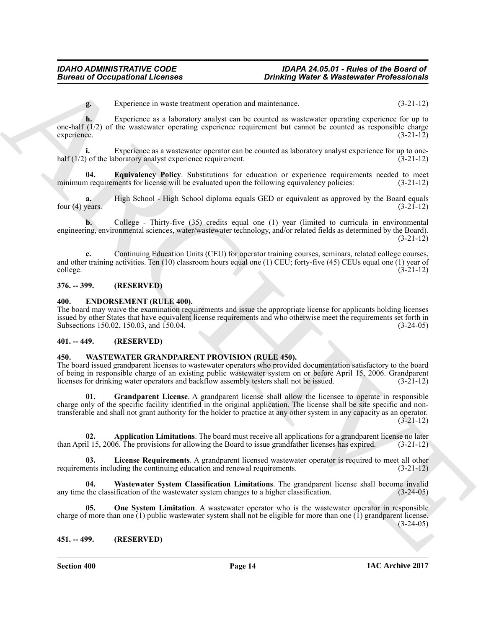**g.** Experience in waste treatment operation and maintenance. (3-21-12)

**h.** Experience as a laboratory analyst can be counted as wastewater operating experience for up to one-half (1/2) of the wastewater operating experience requirement but cannot be counted as responsible charge experience. (3-21-12) experience. (3-21-12)

**i.** Experience as a wastewater operator can be counted as laboratory analyst experience for up to one-<br>(3-21-12) (3-21-12) half  $(1/2)$  of the laboratory analyst experience requirement.

<span id="page-13-6"></span>**04. Equivalency Policy**. Substitutions for education or experience requirements needed to meet in requirements for license will be evaluated upon the following equivalency policies: (3-21-12) minimum requirements for license will be evaluated upon the following equivalency policies:

**a.** High School - High School diploma equals GED or equivalent as approved by the Board equals four (4) years.  $(3-21-12)$ 

**b.** College - Thirty-five (35) credits equal one (1) year (limited to curricula in environmental engineering, environmental sciences, water/wastewater technology, and/or related fields as determined by the Board). (3-21-12)

**c.** Continuing Education Units (CEU) for operator training courses, seminars, related college courses, and other training activities. Ten (10) classroom hours equal one (1) CEU; forty-five (45) CEUs equal one (1) year of college. (3-21-12) college. (3-21-12)

#### <span id="page-13-0"></span>**376. -- 399. (RESERVED)**

#### <span id="page-13-5"></span><span id="page-13-1"></span>**400. ENDORSEMENT (RULE 400).**

The board may waive the examination requirements and issue the appropriate license for applicants holding licenses issued by other States that have equivalent license requirements and who otherwise meet the requirements set forth in Subsections 150.02, 150.03, and 150.04. (3-24-05) Subsections 150.02, 150.03, and 150.04.

#### <span id="page-13-2"></span>**401. -- 449. (RESERVED)**

### <span id="page-13-7"></span><span id="page-13-3"></span>**450. WASTEWATER GRANDPARENT PROVISION (RULE 450).**

<span id="page-13-9"></span>The board issued grandparent licenses to wastewater operators who provided documentation satisfactory to the board of being in responsible charge of an existing public wastewater system on or before April 15, 2006. Grandparent licenses for drinking water operators and backflow assembly testers shall not be issued. (3-21-12)

**Bureau of Occupations I. Leonard Contains (Dramating Warber & Washewalde Professionals (2014).**<br> **Experience as a laboulate stated can be counted a possibility experience (2014)**<br> **Experience as a laboulate stated can be 01. Grandparent License**. A grandparent license shall allow the licensee to operate in responsible charge only of the specific facility identified in the original application. The license shall be site specific and nontransferable and shall not grant authority for the holder to practice at any other system in any capacity as an operator. (3-21-12)

<span id="page-13-8"></span>**02. Application Limitations**. The board must receive all applications for a grandparent license no later il 15, 2006. The provisions for allowing the Board to issue grandfather licenses has expired. (3-21-12) than April 15, 2006. The provisions for allowing the Board to issue grandfather licenses has expired.

<span id="page-13-10"></span>**03. License Requirements**. A grandparent licensed wastewater operator is required to meet all other requirements including the continuing education and renewal requirements. (3-21-12)

<span id="page-13-12"></span>**04.** Wastewater System Classification Limitations. The grandparent license shall become invalid the classification of the wastewater system changes to a higher classification. (3-24-05) any time the classification of the wastewater system changes to a higher classification.

<span id="page-13-11"></span>**05. One System Limitation**. A wastewater operator who is the wastewater operator in responsible charge of more than one  $(1)$  public wastewater system shall not be eligible for more than one  $(1)$  grandparent license.  $(3-24-05)$ 

#### <span id="page-13-4"></span>**451. -- 499. (RESERVED)**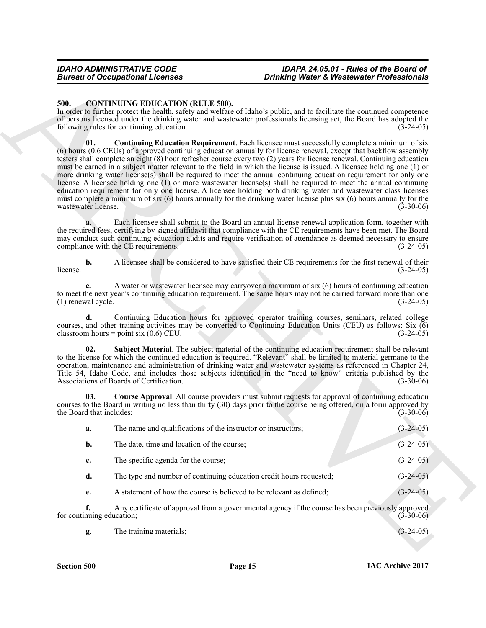#### <span id="page-14-4"></span><span id="page-14-3"></span><span id="page-14-2"></span><span id="page-14-1"></span><span id="page-14-0"></span>**500. CONTINUING EDUCATION (RULE 500).**

|                                 | <b>Bureau of Occupational Licenses</b>                               | <b>Drinking Water &amp; Wastewater Professionals</b>                                                                                                                                                                                                                                                                                                                                                                                                                                                                                                                                                                                                                                                                                                                                                                                                                                                                                                                |             |
|---------------------------------|----------------------------------------------------------------------|---------------------------------------------------------------------------------------------------------------------------------------------------------------------------------------------------------------------------------------------------------------------------------------------------------------------------------------------------------------------------------------------------------------------------------------------------------------------------------------------------------------------------------------------------------------------------------------------------------------------------------------------------------------------------------------------------------------------------------------------------------------------------------------------------------------------------------------------------------------------------------------------------------------------------------------------------------------------|-------------|
| 500.                            | <b>CONTINUING EDUCATION (RULE 500).</b>                              |                                                                                                                                                                                                                                                                                                                                                                                                                                                                                                                                                                                                                                                                                                                                                                                                                                                                                                                                                                     |             |
|                                 | following rules for continuing education.                            | In order to further protect the health, safety and welfare of Idaho's public, and to facilitate the continued competence<br>of persons licensed under the drinking water and wastewater professionals licensing act, the Board has adopted the<br>$(3-24-05)$                                                                                                                                                                                                                                                                                                                                                                                                                                                                                                                                                                                                                                                                                                       |             |
| 01.<br>wastewater license.      |                                                                      | <b>Continuing Education Requirement</b> . Each licensee must successfully complete a minimum of six<br>(6) hours (0.6 CEUs) of approved continuing education annually for license renewal, except that backflow assembly<br>testers shall complete an eight (8) hour refresher course every two (2) years for license renewal. Continuing education<br>must be earned in a subject matter relevant to the field in which the license is issued. A licensee holding one (1) or<br>more drinking water license(s) shall be required to meet the annual continuing education requirement for only one<br>license. A licensee holding one (1) or more wastewater license(s) shall be required to meet the annual continuing<br>education requirement for only one license. A licensee holding both drinking water and wastewater class licenses<br>must complete a minimum of six (6) hours annually for the drinking water license plus six (6) hours annually for the | $(3-30-06)$ |
|                                 | compliance with the CE requirements.                                 | Each licensee shall submit to the Board an annual license renewal application form, together with<br>the required fees, certifying by signed affidavit that compliance with the CE requirements have been met. The Board<br>may conduct such continuing education audits and require verification of attendance as deemed necessary to ensure                                                                                                                                                                                                                                                                                                                                                                                                                                                                                                                                                                                                                       | $(3-24-05)$ |
| $\mathbf{b}$ .<br>license.      |                                                                      | A licensee shall be considered to have satisfied their CE requirements for the first renewal of their                                                                                                                                                                                                                                                                                                                                                                                                                                                                                                                                                                                                                                                                                                                                                                                                                                                               | $(3-24-05)$ |
| c.<br>(1) renewal cycle.        |                                                                      | A water or wastewater licensee may carryover a maximum of six (6) hours of continuing education<br>to meet the next year's continuing education requirement. The same hours may not be carried forward more than one                                                                                                                                                                                                                                                                                                                                                                                                                                                                                                                                                                                                                                                                                                                                                | $(3-24-05)$ |
| d.                              | classroom hours = point six $(0.6)$ CEU.                             | Continuing Education hours for approved operator training courses, seminars, related college<br>courses, and other training activities may be converted to Continuing Education Units (CEU) as follows: Six (6)                                                                                                                                                                                                                                                                                                                                                                                                                                                                                                                                                                                                                                                                                                                                                     | $(3-24-05)$ |
| 02.                             | Associations of Boards of Certification.                             | Subject Material. The subject material of the continuing education requirement shall be relevant<br>to the license for which the continued education is required. "Relevant" shall be limited to material germane to the<br>operation, maintenance and administration of drinking water and wastewater systems as referenced in Chapter 24,<br>Title 54, Idaho Code, and includes those subjects identified in the "need to know" criteria published by the                                                                                                                                                                                                                                                                                                                                                                                                                                                                                                         | $(3-30-06)$ |
| 03.<br>the Board that includes: |                                                                      | <b>Course Approval.</b> All course providers must submit requests for approval of continuing education<br>courses to the Board in writing no less than thirty (30) days prior to the course being offered, on a form approved by                                                                                                                                                                                                                                                                                                                                                                                                                                                                                                                                                                                                                                                                                                                                    | $(3-30-06)$ |
| a.                              | The name and qualifications of the instructor or instructors;        |                                                                                                                                                                                                                                                                                                                                                                                                                                                                                                                                                                                                                                                                                                                                                                                                                                                                                                                                                                     | $(3-24-05)$ |
| b.                              | The date, time and location of the course;                           |                                                                                                                                                                                                                                                                                                                                                                                                                                                                                                                                                                                                                                                                                                                                                                                                                                                                                                                                                                     | $(3-24-05)$ |
| c.                              | The specific agenda for the course;                                  |                                                                                                                                                                                                                                                                                                                                                                                                                                                                                                                                                                                                                                                                                                                                                                                                                                                                                                                                                                     | $(3-24-05)$ |
| d.                              | The type and number of continuing education credit hours requested;  |                                                                                                                                                                                                                                                                                                                                                                                                                                                                                                                                                                                                                                                                                                                                                                                                                                                                                                                                                                     | $(3-24-05)$ |
| e.                              | A statement of how the course is believed to be relevant as defined; |                                                                                                                                                                                                                                                                                                                                                                                                                                                                                                                                                                                                                                                                                                                                                                                                                                                                                                                                                                     | $(3-24-05)$ |
| f.<br>for continuing education; |                                                                      | Any certificate of approval from a governmental agency if the course has been previously approved                                                                                                                                                                                                                                                                                                                                                                                                                                                                                                                                                                                                                                                                                                                                                                                                                                                                   | $(3-30-06)$ |
|                                 | The training materials;                                              |                                                                                                                                                                                                                                                                                                                                                                                                                                                                                                                                                                                                                                                                                                                                                                                                                                                                                                                                                                     | $(3-24-05)$ |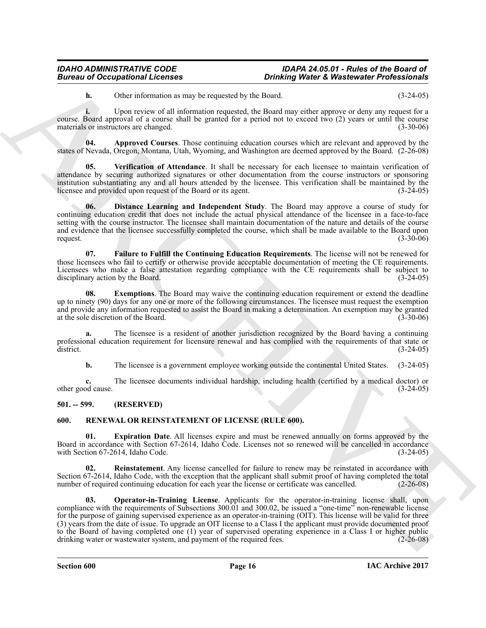<span id="page-15-2"></span>**h.** Other information as may be requested by the Board. (3-24-05)

**i.** Upon review of all information requested, the Board may either approve or deny any request for a course. Board approval of a course shall be granted for a period not to exceed two (2) years or until the course materials or instructors are changed. (3-30-06)

**04. Approved Courses**. Those continuing education courses which are relevant and approved by the states of Nevada, Oregon, Montana, Utah, Wyoming, and Washington are deemed approved by the Board. (2-26-08)

<span id="page-15-6"></span>**05. Verification of Attendance**. It shall be necessary for each licensee to maintain verification of attendance by securing authorized signatures or other documentation from the course instructors or sponsoring institution substantiating any and all hours attended by the licensee. This verification shall be maintained by the licensee and provided upon request of the Board or its agent.

<span id="page-15-3"></span>**06. Distance Learning and Independent Study**. The Board may approve a course of study for continuing education credit that does not include the actual physical attendance of the licensee in a face-to-face setting with the course instructor. The licensee shall maintain documentation of the nature and details of the course and evidence that the licensee successfully completed the course, which shall be made available to the Board upon request.  $(3-30-06)$ 

<span id="page-15-5"></span>**07. Failure to Fulfill the Continuing Education Requirements**. The license will not be renewed for those licensees who fail to certify or otherwise provide acceptable documentation of meeting the CE requirements. Licensees who make a false attestation regarding compliance with the CE requirements shall be subject to disciplinary action by the Board. (3-24-05) (3-24-05)

<span id="page-15-4"></span>**08.** Exemptions. The Board may waive the continuing education requirement or extend the deadline up to ninety (90) days for any one or more of the following circumstances. The licensee must request the exemption and provide any information requested to assist the Board in making a determination. An exemption may be granted at the sole discretion of the Board. (3-30-06) at the sole discretion of the Board.

**a.** The licensee is a resident of another jurisdiction recognized by the Board having a continuing professional education requirement for licensure renewal and has complied with the requirements of that state or district. (3-24-05) district.  $(3-24-05)$ 

**b.** The licensee is a government employee working outside the continental United States.  $(3-24-05)$ 

**c.** The licensee documents individual hardship, including health (certified by a medical doctor) or od cause.  $(3-24-05)$ other good cause.

#### <span id="page-15-0"></span>**501. -- 599. (RESERVED)**

#### <span id="page-15-7"></span><span id="page-15-1"></span>**600. RENEWAL OR REINSTATEMENT OF LICENSE (RULE 600).**

<span id="page-15-8"></span>**01. Expiration Date**. All licenses expire and must be renewed annually on forms approved by the Board in accordance with Section 67-2614, Idaho Code. Licenses not so renewed will be cancelled in accordance with Section 67-2614, Idaho Code.

<span id="page-15-10"></span><span id="page-15-9"></span>**Reinstatement**. Any license cancelled for failure to renew may be reinstated in accordance with Section 67-2614, Idaho Code, with the exception that the applicant shall submit proof of having completed the total number of required continuing education for each year the license or certificate was cancelled. (2-26-08) number of required continuing education for each year the license or certificate was cancelled.

**Bureau of Occupations I Licenses control is by the control of Waterseed Professionals (1)**<br>
Unit (The interaction state the time of the bureau of the bureau of the state of the control of the interaction of the control o **03. Operator-in-Training License**. Applicants for the operator-in-training license shall, upon compliance with the requirements of Subsections 300.01 and 300.02, be issued a "one-time" non-renewable license for the purpose of gaining supervised experience as an operator-in-training (OIT). This license will be valid for three (3) years from the date of issue. To upgrade an OIT license to a Class I the applicant must provide documented proof to the Board of having completed one (1) year of supervised operating experience in a Class I or higher public drinking water or wastewater system, and payment of the required fees. (2-26-08) drinking water or wastewater system, and payment of the required fees.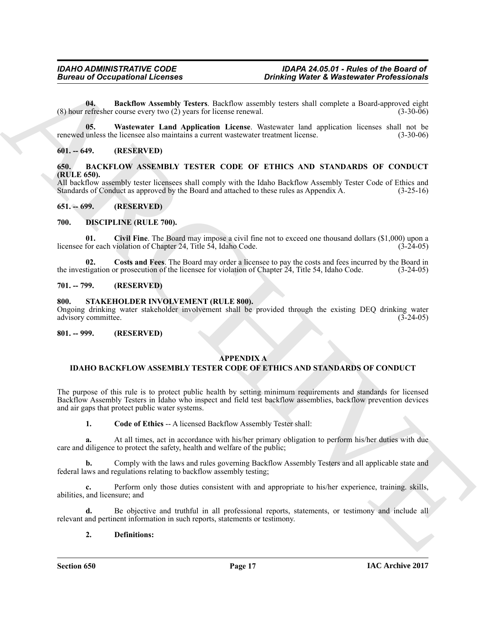<span id="page-16-12"></span>**04. Backflow Assembly Testers**. Backflow assembly testers shall complete a Board-approved eight refresher course every two (2) years for license renewal. (3-30-06) (8) hour refresher course every two  $(2)$  years for license renewal.

<span id="page-16-13"></span>**05. Wastewater Land Application License**. Wastewater land application licenses shall not be renewed unless the licensee also maintains a current wastewater treatment license. (3-30-06)

#### <span id="page-16-0"></span>**601. -- 649. (RESERVED)**

<span id="page-16-8"></span><span id="page-16-1"></span>**650. BACKFLOW ASSEMBLY TESTER CODE OF ETHICS AND STANDARDS OF CONDUCT (RULE 650).**

All backflow assembly tester licensees shall comply with the Idaho Backflow Assembly Tester Code of Ethics and Standards of Conduct as approved by the Board and attached to these rules as Appendix A. (3-25-16) Standards of Conduct as approved by the Board and attached to these rules as Appendix A.

#### <span id="page-16-2"></span>**651. -- 699. (RESERVED)**

#### <span id="page-16-9"></span><span id="page-16-3"></span>**700. DISCIPLINE (RULE 700).**

<span id="page-16-10"></span>**01. Civil Fine**. The Board may impose a civil fine not to exceed one thousand dollars (\$1,000) upon a licensee for each violation of Chapter 24, Title 54, Idaho Code.

<span id="page-16-11"></span>**02.** Costs and Fees. The Board may order a licensee to pay the costs and fees incurred by the Board in tigation or prosecution of the licensee for violation of Chapter 24, Title 54, Idaho Code. (3-24-05) the investigation or prosecution of the licensee for violation of Chapter  $24$ , Title 54, Idaho Code.

#### <span id="page-16-4"></span>**701. -- 799. (RESERVED)**

#### <span id="page-16-14"></span><span id="page-16-5"></span>**800. STAKEHOLDER INVOLVEMENT (RULE 800).**

Ongoing drinking water stakeholder involvement shall be provided through the existing DEQ drinking water advisory committee. (3-24-05) advisory committee.

#### <span id="page-16-6"></span>**801. -- 999. (RESERVED)**

#### <span id="page-16-7"></span>**APPENDIX A**

#### **IDAHO BACKFLOW ASSEMBLY TESTER CODE OF ETHICS AND STANDARDS OF CONDUCT**

**Bureau of Occupations I. From a particular sympatric Constraints of Wastlewster Professionals<br>
Constraints constraint Constraint Constraint Signal and Applications (Solid March 2003) and the sympatric Constraint Constrai** The purpose of this rule is to protect public health by setting minimum requirements and standards for licensed Backflow Assembly Testers in Idaho who inspect and field test backflow assemblies, backflow prevention devices and air gaps that protect public water systems.

**1. Code of Ethics** -- A licensed Backflow Assembly Tester shall:

**a.** At all times, act in accordance with his/her primary obligation to perform his/her duties with due care and diligence to protect the safety, health and welfare of the public;

**b.** Comply with the laws and rules governing Backflow Assembly Testers and all applicable state and federal laws and regulations relating to backflow assembly testing;

**c.** Perform only those duties consistent with and appropriate to his/her experience, training. skills, abilities, and licensure; and

**d.** Be objective and truthful in all professional reports, statements, or testimony and include all relevant and pertinent information in such reports, statements or testimony.

#### **2. Definitions:**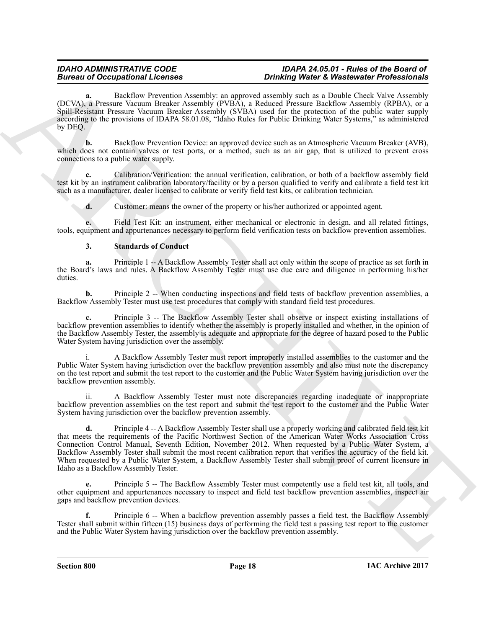Backflow Prevention Assembly: an approved assembly such as a Double Check Valve Assembly (DCVA), a Pressure Vacuum Breaker Assembly (PVBA), a Reduced Pressure Backflow Assembly (RPBA), or a Spill-Resistant Pressure Vacuum Breaker Assembly (SVBA) used for the protection of the public water supply according to the provisions of IDAPA 58.01.08, "Idaho Rules for Public Drinking Water Systems," as administered by DEQ.

**b.** Backflow Prevention Device: an approved device such as an Atmospheric Vacuum Breaker (AVB), which does not contain valves or test ports, or a method, such as an air gap, that is utilized to prevent cross connections to a public water supply.

**c.** Calibration/Verification: the annual verification, calibration, or both of a backflow assembly field test kit by an instrument calibration laboratory/facility or by a person qualified to verify and calibrate a field test kit such as a manufacturer, dealer licensed to calibrate or verify field test kits, or calibration technician.

**d.** Customer: means the owner of the property or his/her authorized or appointed agent.

**e.** Field Test Kit: an instrument, either mechanical or electronic in design, and all related fittings, tools, equipment and appurtenances necessary to perform field verification tests on backflow prevention assemblies.

### **3. Standards of Conduct**

**a.** Principle 1 -- A Backflow Assembly Tester shall act only within the scope of practice as set forth in the Board's laws and rules. A Backflow Assembly Tester must use due care and diligence in performing his/her duties.

**b.** Principle 2 -- When conducting inspections and field tests of backflow prevention assemblies, a Backflow Assembly Tester must use test procedures that comply with standard field test procedures.

**c.** Principle 3 -- The Backflow Assembly Tester shall observe or inspect existing installations of backflow prevention assemblies to identify whether the assembly is properly installed and whether, in the opinion of the Backflow Assembly Tester, the assembly is adequate and appropriate for the degree of hazard posed to the Public Water System having jurisdiction over the assembly.

A Backflow Assembly Tester must report improperly installed assemblies to the customer and the Public Water System having jurisdiction over the backflow prevention assembly and also must note the discrepancy on the test report and submit the test report to the customer and the Public Water System having jurisdiction over the backflow prevention assembly.

A Backflow Assembly Tester must note discrepancies regarding inadequate or inappropriate backflow prevention assemblies on the test report and submit the test report to the customer and the Public Water System having jurisdiction over the backflow prevention assembly.

Bureau of Occupation II. Consults and the materials and optimized and the Materials Chern Methods (New York), and  $\alpha$  the state of the state of the state of the state of the state of the state of the state of the state o **d.** Principle 4 -- A Backflow Assembly Tester shall use a properly working and calibrated field test kit that meets the requirements of the Pacific Northwest Section of the American Water Works Association Cross Connection Control Manual, Seventh Edition, November 2012. When requested by a Public Water System, a Backflow Assembly Tester shall submit the most recent calibration report that verifies the accuracy of the field kit. When requested by a Public Water System, a Backflow Assembly Tester shall submit proof of current licensure in Idaho as a Backflow Assembly Tester.

**e.** Principle 5 -- The Backflow Assembly Tester must competently use a field test kit, all tools, and other equipment and appurtenances necessary to inspect and field test backflow prevention assemblies, inspect air gaps and backflow prevention devices.

**f.** Principle 6 -- When a backflow prevention assembly passes a field test, the Backflow Assembly Tester shall submit within fifteen (15) business days of performing the field test a passing test report to the customer and the Public Water System having jurisdiction over the backflow prevention assembly.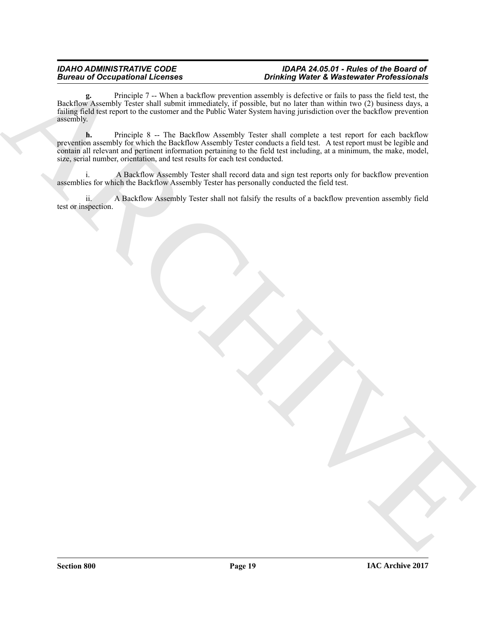**g.** Principle 7 -- When a backflow prevention assembly is defective or fails to pass the field test, the Backflow Assembly Tester shall submit immediately, if possible, but no later than within two (2) business days, a failing field test report to the customer and the Public Water System having jurisdiction over the backflow prevention assembly.

Bureau of Occupational License.<br>
This product was the labelling exception months at which is a wide control of the change of the state of the<br>
Hugged and was the labelling in the Hole March state of the state of the state **h.** Principle 8 -- The Backflow Assembly Tester shall complete a test report for each backflow prevention assembly for which the Backflow Assembly Tester conducts a field test. A test report must be legible and contain all relevant and pertinent information pertaining to the field test including, at a minimum, the make, model, size, serial number, orientation, and test results for each test conducted.

i. A Backflow Assembly Tester shall record data and sign test reports only for backflow prevention assemblies for which the Backflow Assembly Tester has personally conducted the field test.

ii. A Backflow Assembly Tester shall not falsify the results of a backflow prevention assembly field test or inspection.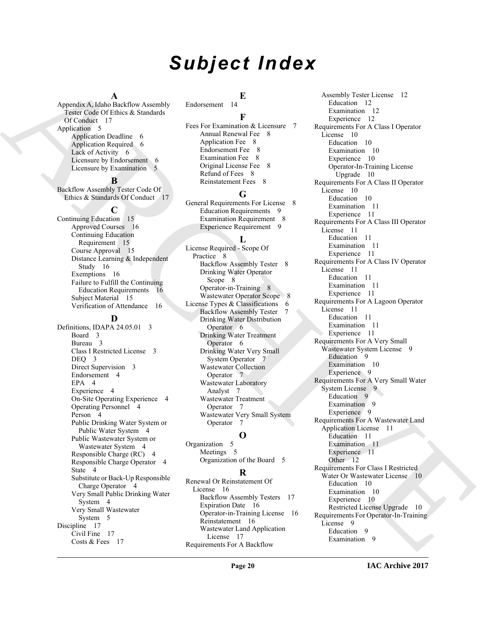# *Subject Index*

#### **A**

Appendix A, Idaho Backflow Assembly Tester Code Of Ethics & Standards Of Conduct 17 Application 5 Application Deadline 6 Application Required 6 Lack of Activity 6 Licensure by Endorsement 6 Licensure by Examination 5

### **B**

Backflow Assembly Tester Code Of Ethics & Standards Of Conduct 17

#### **C**

Continuing Education 15 Approved Courses 16 Continuing Education Requirement 15 Course Approval 15 Distance Learning & Independent Study 16 Exemptions 16 Failure to Fulfill the Continuing Education Requirements 16 Subject Material 15 Verification of Attendance 16

#### **D**

Definitions, IDAPA 24.05.01 3 Board 3 Bureau 3 Class I Restricted License 3 DEO 3 Direct Supervision 3 Endorsement 4 EPA 4 Experience 4 On-Site Operating Experience 4 Operating Personnel 4 Person 4 Public Drinking Water System or Public Water System 4 Public Wastewater System or Wastewater System 4 Responsible Charge (RC) 4 Responsible Charge Operator 4 State 4 Substitute or Back-Up Responsible Charge Operator 4 Very Small Public Drinking Water System 4 Very Small Wastewater System 5 Discipline 17 Civil Fine 17 Costs & Fees 17

**E**

Endorsement 14 **F** Fees For Examination & Licensure 7 Annual Renewal Fee 8 Application Fee 8 Endorsement Fee 8 Examination Fee 8 Original License Fee 8 Refund of Fees 8 Reinstatement Fees 8

#### **G**

General Requirements For License 8 Education Requirements 9 Examination Requirement 8 Experience Requirement 9

#### **L**

License Required - Scope Of Practice 8 Backflow Assembly Tester 8 Drinking Water Operator Scope 8 Operator-in-Training 8 Wastewater Operator Scope 8 License Types & Classifications 6 Backflow Assembly Tester 7 Drinking Water Distribution Operator 6 Drinking Water Treatment Operator 6 Drinking Water Very Small System Operator 7 Wastewater Collection Operator 7 Wastewater Laboratory Analyst 7 Wastewater Treatment Operator 7 Wastewater Very Small System Operator 7

#### **O**

Organization 5 Meetings 5 Organization of the Board 5

#### **R**

Renewal Or Reinstatement Of License 16 Backflow Assembly Testers 17 Expiration Date 16 Operator-in-Training License 16 Reinstatement 16 Wastewater Land Application License 17 Requirements For A Backflow

[A](#page-16-7)ppears A. Mathematical the content of the second stress is the second of the second of the second of the second of the second of the second of the second of the second of the second of the second of the second of the sec Assembly Tester License 12 Education 12 Examination 12 Experience 12 Requirements For A Class I Operator License 10 Education 10 Examination 10 Experience 10 Operator-In-Training License Upgrade 10 Requirements For A Class II Operator License 10 Education 10 Examination 11 Experience 11 Requirements For A Class III Operator License 11 Education 11 Examination 11 Experience 11 Requirements For A Class IV Operator License 11 Education 11 Examination 11 Experience 11 Requirements For A Lagoon Operator License 11 Education 11 Examination 11 Experience 11 Requirements For A Very Small Wastewater System License 9 Education<sub>9</sub> Examination 10 Experience 9 Requirements For A Very Small Water System License 9 Education 9 Examination 9 Experience 9 Requirements For A Wastewater Land Application License 11 Education 11 Examination 11 Experience 11 Other 12 Requirements For Class I Restricted Water Or Wastewater License 10 Education 10 Examination 10 Experience 10 Restricted License Upgrade 10 Requirements For Operator-In-Training License 9 Education 9 Examination 9